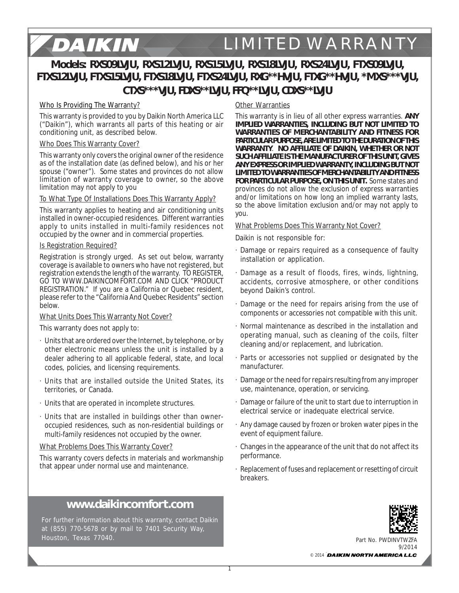# **Models: RXS09LVJU, RXS12LVJU, RXS15LVJU, RXS18LVJU, RXS24LVJU, FTXS09LVJU, FTXS12LVJU, FTXS15LVJU, FTXS18LVJU, FTXS24LVJU, RXG\*\*HVJU, FTXG\*\*HVJU, \*MXS\*\*\*VJU, CTXS\*\*\*VJU, FDXS\*\*LVJU, FFQ\*\*LVJU, CDXS\*\*LVJU**

#### Who Is Providing The Warranty?

DAIKIN

This warranty is provided to you by Daikin North America LLC ("Daikin"), which warrants all parts of this heating or air conditioning unit, as described below.

#### Who Does This Warranty Cover?

This warranty only covers the original owner of the residence as of the installation date (as defined below), and his or her spouse ("owner"). Some states and provinces do not allow limitation of warranty coverage to owner, so the above limitation may not apply to you

#### To What Type Of Installations Does This Warranty Apply?

This warranty applies to heating and air conditioning units installed in owner-occupied residences. Different warranties apply to units installed in multi-family residences not occupied by the owner and in commercial properties.

#### Is Registration Required?

Registration is strongly urged. As set out below, warranty coverage is available to owners who have not registered, but registration extends the length of the warranty. TO REGISTER, GO TO WWW.DAIKINCOMFORT.COM AND CLICK "PRODUCT REGISTRATION." If you are a California or Quebec resident, please refer to the "California And Quebec Residents" section below.

#### What Units Does This Warranty Not Cover?

This warranty does not apply to:

- · Units that are ordered over the Internet, by telephone, or by other electronic means unless the unit is installed by a dealer adhering to all applicable federal, state, and local codes, policies, and licensing requirements.
- · Units that are installed outside the United States, its territories, or Canada.
- · Units that are operated in incomplete structures.
- · Units that are installed in buildings other than owneroccupied residences, such as non-residential buildings or multi-family residences not occupied by the owner.

#### What Problems Does This Warranty Cover?

This warranty covers defects in materials and workmanship that appear under normal use and maintenance.

## **www.daikincomfort.com**

For further information about this warranty, contact Daikin at (855) 770-5678 or by mail to 7401 Security Way, Houston, Texas 77040.

#### **Other Warranties**

This warranty is in lieu of all other express warranties. **ANY IMPLIED WARRANTIES, INCLUDING BUT NOT LIMITED TO WARRANTIES OF MERCHANTABILITY AND FITNESS FOR PARTICULAR PURPOSE, ARE LIMITED TO THE DURATION OF THIS WARRANTY**. **NO AFFILIATE OF DAIKIN, WHETHER OR NOT SUCH AFFILIATE IS THE MANUFACTURER OF THIS UNIT, GIVES ANY EXPRESS OR IMPLIED WARRANTY, INCLUDING BUT NOT LIMITED TO WARRANTIES OF MERCHANTABILITY AND FITNESS FOR PARTICULAR PURPOSE, ON THIS UNIT.** Some states and provinces do not allow the exclusion of express warranties and/or limitations on how long an implied warranty lasts, so the above limitation exclusion and/or may not apply to you.

#### What Problems Does This Warranty Not Cover?

Daikin is not responsible for:

- · Damage or repairs required as a consequence of faulty installation or application.
- · Damage as a result of floods, fires, winds, lightning, accidents, corrosive atmosphere, or other conditions beyond Daikin's control.
- Damage or the need for repairs arising from the use of components or accessories not compatible with this unit.
- · Normal maintenance as described in the installation and operating manual, such as cleaning of the coils, filter cleaning and/or replacement, and lubrication.
- · Parts or accessories not supplied or designated by the manufacturer.
- · Damage or the need for repairs resulting from any improper use, maintenance, operation, or servicing.
- · Damage or failure of the unit to start due to interruption in electrical service or inadequate electrical service.
- · Any damage caused by frozen or broken water pipes in the event of equipment failure.
- · Changes in the appearance of the unit that do not affect its performance.
- · Replacement of fuses and replacement or resetting of circuit breakers.



Part No. PWDINVTWZFA  $Q/2011$ 

**▄▃** © 2014 DAIKIN NORTH AMERICA LLC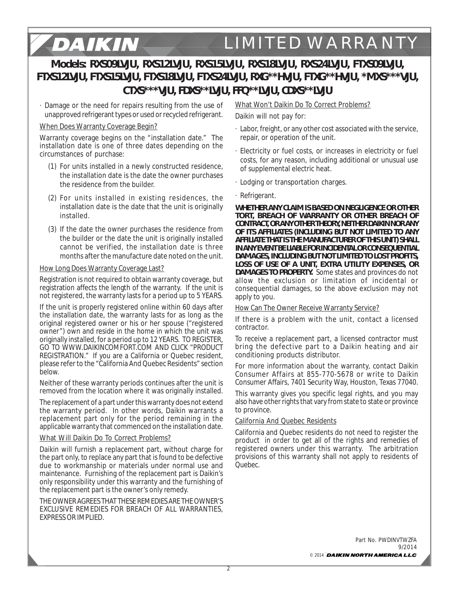# **Models: RXS09LVJU, RXS12LVJU, RXS15LVJU, RXS18LVJU, RXS24LVJU, FTXS09LVJU, FTXS12LVJU, FTXS15LVJU, FTXS18LVJU, FTXS24LVJU, RXG\*\*HVJU, FTXG\*\*HVJU, \*MXS\*\*\*VJU, CTXS\*\*\*VJU, FDXS\*\*LVJU, FFQ\*\*LVJU, CDXS\*\*LVJU**

· Damage or the need for repairs resulting from the use of unapproved refrigerant types or used or recycled refrigerant.

#### When Does Warranty Coverage Begin?

DAIKIN

Warranty coverage begins on the "installation date." The installation date is one of three dates depending on the circumstances of purchase:

- (1) For units installed in a newly constructed residence, the installation date is the date the owner purchases the residence from the builder.
- (2) For units installed in existing residences, the installation date is the date that the unit is originally installed.
- (3) If the date the owner purchases the residence from the builder or the date the unit is originally installed cannot be verified, the installation date is three months after the manufacture date noted on the unit.

#### How Long Does Warranty Coverage Last?

Registration is not required to obtain warranty coverage, but registration affects the length of the warranty. If the unit is not registered, the warranty lasts for a period up to 5 YEARS.

If the unit is properly registered online within 60 days after the installation date, the warranty lasts for as long as the original registered owner or his or her spouse ("registered owner") own and reside in the home in which the unit was originally installed, for a period up to 12 YEARS. TO REGISTER, GO TO WWW.DAIKINCOMFORT.COM AND CLICK "PRODUCT REGISTRATION." If you are a California or Quebec resident, please refer to the "California And Quebec Residents" section below.

Neither of these warranty periods continues after the unit is removed from the location where it was originally installed.

The replacement of a part under this warranty does not extend the warranty period. In other words, Daikin warrants a replacement part only for the period remaining in the applicable warranty that commenced on the installation date.

#### What Will Daikin Do To Correct Problems?

Daikin will furnish a replacement part, without charge for the part only, to replace any part that is found to be defective due to workmanship or materials under normal use and maintenance. Furnishing of the replacement part is Daikin's only responsibility under this warranty and the furnishing of the replacement part is the owner's only remedy.

THE OWNER AGREES THAT THESE REMEDIES ARE THE OWNER'S EXCLUSIVE REMEDIES FOR BREACH OF ALL WARRANTIES, EXPRESS OR IMPLIED.

## What Won't Daikin Do To Correct Problems?

Daikin will not pay for:

- · Labor, freight, or any other cost associated with the service, repair, or operation of the unit.
- · Electricity or fuel costs, or increases in electricity or fuel costs, for any reason, including additional or unusual use of supplemental electric heat.
- · Lodging or transportation charges.
- · Refrigerant.

**WHETHER ANY CLAIM IS BASED ON NEGLIGENCE OR OTHER TORT, BREACH OF WARRANTY OR OTHER BREACH OF CONTRACT, OR ANY OTHER THEORY, NEITHER DAIKIN NOR ANY OF ITS AFFILIATES (INCLUDING BUT NOT LIMITED TO ANY AFFILIATE THAT IS THE MANUFACTURER OF THIS UNIT) SHALL IN ANY EVENT BE LIABLE FOR INCIDENTAL OR CONSEQUENTIAL DAMAGES, INCLUDING BUT NOT LIMITED TO LOST PROFITS, LOSS OF USE OF A UNIT, EXTRA UTILITY EXPENSES, OR DAMAGES TO PROPERTY.** Some states and provinces do not allow the exclusion or limitation of incidental or consequential damages, so the above exclusion may not apply to you.

#### How Can The Owner Receive Warranty Service?

If there is a problem with the unit, contact a licensed contractor.

To receive a replacement part, a licensed contractor must bring the defective part to a Daikin heating and air conditioning products distributor.

For more information about the warranty, contact Daikin Consumer Affairs at 855-770-5678 or write to Daikin Consumer Affairs, 7401 Security Way, Houston, Texas 77040.

This warranty gives you specific legal rights, and you may also have other rights that vary from state to state or province to province.

#### California And Quebec Residents

California and Quebec residents do not need to register the product in order to get all of the rights and remedies of registered owners under this warranty. The arbitration provisions of this warranty shall not apply to residents of Quebec.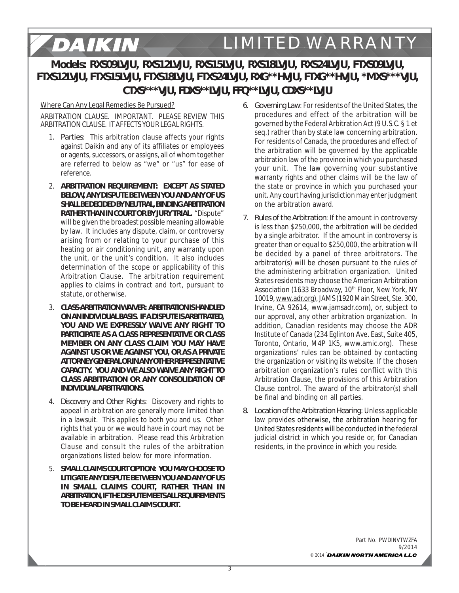# **Models: RXS09LVJU, RXS12LVJU, RXS15LVJU, RXS18LVJU, RXS24LVJU, FTXS09LVJU, FTXS12LVJU, FTXS15LVJU, FTXS18LVJU, FTXS24LVJU, RXG\*\*HVJU, FTXG\*\*HVJU, \*MXS\*\*\*VJU, CTXS\*\*\*VJU, FDXS\*\*LVJU, FFQ\*\*LVJU, CDXS\*\*LVJU**

## Where Can Any Legal Remedies Be Pursued?

DAIKIN

ARBITRATION CLAUSE. IMPORTANT. PLEASE REVIEW THIS ARBITRATION CLAUSE. IT AFFECTS YOUR LEGAL RIGHTS.

- 1. *Parties*: This arbitration clause affects your rights against Daikin and any of its affiliates or employees or agents, successors, or assigns, all of whom together are referred to below as "we" or "us" for ease of reference.
- 2. *ARBITRATION REQUIREMENT***: EXCEPT AS STATED BELOW, ANY DISPUTE BETWEEN YOU AND ANY OF US SHALL BE DECIDED BY NEUTRAL, BINDING ARBITRATION RATHER THAN IN COURT OR BY JURY TRIAL.** "Dispute" will be given the broadest possible meaning allowable by law. It includes any dispute, claim, or controversy arising from or relating to your purchase of this heating or air conditioning unit, any warranty upon the unit, or the unit's condition. It also includes determination of the scope or applicability of this Arbitration Clause. The arbitration requirement applies to claims in contract and tort, pursuant to statute, or otherwise.
- 3. *CLASS-ARBITRATION WAIVER***: ARBITRATION IS HANDLED ON AN INDIVIDUAL BASIS. IF A DISPUTE IS ARBITRATED, YOU AND WE EXPRESSLY WAIVE ANY RIGHT TO PARTICIPATE AS A CLASS REPRESENTATIVE OR CLASS MEMBER ON ANY CLASS CLAIM YOU MAY HAVE AGAINST US OR WE AGAINST YOU, OR AS A PRIVATE ATTORNEY GENERAL OR IN ANY OTHER REPRESENTATIVE CAPACITY. YOU AND WE ALSO WAIVE ANY RIGHT TO CLASS ARBITRATION OR ANY CONSOLIDATION OF INDIVIDUAL ARBITRATIONS.**
- 4. *Discovery and Other Rights*: Discovery and rights to appeal in arbitration are generally more limited than in a lawsuit. This applies to both you and us. Other rights that you or we would have in court may not be available in arbitration. Please read this Arbitration Clause and consult the rules of the arbitration organizations listed below for more information.
- 5. *SMALL CLAIMS COURT OPTION***: YOU MAY CHOOSE TO LITIGATE ANY DISPUTE BETWEEN YOU AND ANY OF US IN SMALL CLAIMS COURT, RATHER THAN IN ARBITRATION, IF THE DISPUTE MEETS ALL REQUIREMENTS TO BE HEARD IN SMALL CLAIMS COURT.**
- *6. Governing Law*: For residents of the United States, the procedures and effect of the arbitration will be governed by the Federal Arbitration Act (9 U.S.C. § 1 et seq.) rather than by state law concerning arbitration. For residents of Canada, the procedures and effect of the arbitration will be governed by the applicable arbitration law of the province in which you purchased your unit. The law governing your substantive warranty rights and other claims will be the law of the state or province in which you purchased your unit. Any court having jurisdiction may enter judgment on the arbitration award.
- *7. Rules of the Arbitration*: If the amount in controversy is less than \$250,000, the arbitration will be decided by a single arbitrator. If the amount in controversy is greater than or equal to \$250,000, the arbitration will be decided by a panel of three arbitrators. The arbitrator(s) will be chosen pursuant to the rules of the administering arbitration organization. United States residents may choose the American Arbitration Association (1633 Broadway, 10<sup>th</sup> Floor, New York, NY 10019, www.adr.org), JAMS (1920 Main Street, Ste. 300, Irvine, CA 92614, www.jamsadr.com), or, subject to our approval, any other arbitration organization. In addition, Canadian residents may choose the ADR Institute of Canada (234 Eglinton Ave. East, Suite 405, Toronto, Ontario, M4P 1K5, www.amic.org). These organizations' rules can be obtained by contacting the organization or visiting its website. If the chosen arbitration organization's rules conflict with this Arbitration Clause, the provisions of this Arbitration Clause control. The award of the arbitrator(s) shall be final and binding on all parties.
- *8. Location of the Arbitration Hearing*: Unless applicable law provides otherwise, the arbitration hearing for United States residents will be conducted in the federal judicial district in which you reside or, for Canadian residents, in the province in which you reside.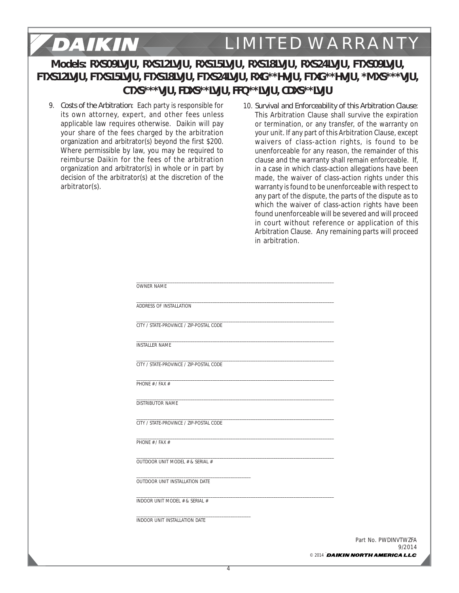# **Models: RXS09LVJU, RXS12LVJU, RXS15LVJU, RXS18LVJU, RXS24LVJU, FTXS09LVJU, FTXS12LVJU, FTXS15LVJU, FTXS18LVJU, FTXS24LVJU, RXG\*\*HVJU, FTXG\*\*HVJU, \*MXS\*\*\*VJU, CTXS\*\*\*VJU, FDXS\*\*LVJU, FFQ\*\*LVJU, CDXS\*\*LVJU**

9. *Costs of the Arbitration*: Each party is responsible for its own attorney, expert, and other fees unless applicable law requires otherwise. Daikin will pay your share of the fees charged by the arbitration organization and arbitrator(s) beyond the first \$200. Where permissible by law, you may be required to reimburse Daikin for the fees of the arbitration organization and arbitrator(s) in whole or in part by decision of the arbitrator(s) at the discretion of the arbitrator(s).

DAIKIN

10. *Survival and Enforceability of this Arbitration Clause*: This Arbitration Clause shall survive the expiration or termination, or any transfer, of the warranty on your unit. If any part of this Arbitration Clause, except waivers of class-action rights, is found to be unenforceable for any reason, the remainder of this clause and the warranty shall remain enforceable. If, in a case in which class-action allegations have been made, the waiver of class-action rights under this warranty is found to be unenforceable with respect to any part of the dispute, the parts of the dispute as to which the waiver of class-action rights have been found unenforceable will be severed and will proceed in court without reference or application of this Arbitration Clause. Any remaining parts will proceed in arbitration.

| OWNER NAME                              |                                                                                                                      |
|-----------------------------------------|----------------------------------------------------------------------------------------------------------------------|
| ADDRESS OF INSTALLATION                 |                                                                                                                      |
| CITY / STATE-PROVINCE / ZIP-POSTAL CODE |                                                                                                                      |
| <b>INSTALLER NAME</b>                   |                                                                                                                      |
| CITY / STATE-PROVINCE / ZIP-POSTAL CODE |                                                                                                                      |
| PHONE # / FAX #                         | the control of the control of the control of the control of the control of the control of                            |
| DISTRIBUTOR NAME                        |                                                                                                                      |
| CITY / STATE-PROVINCE / ZIP-POSTAL CODE |                                                                                                                      |
| PHONE # / FAX #                         | <u> 1989 - Johann Stein, mars an deutscher Stein und der Stein und der Stein und der Stein und der Stein und der</u> |
| OUTDOOR UNIT MODEL # & SERIAL #         |                                                                                                                      |
| OUTDOOR UNIT INSTALLATION DATE          |                                                                                                                      |
| INDOOR UNIT MODEL # & SERIAL #          |                                                                                                                      |
| INDOOR UNIT INSTALLATION DATE           |                                                                                                                      |
|                                         | Part No. PWDINVTWZFA<br>9/2014                                                                                       |
|                                         | © 2014 DAIKIN NORTH AMERICA LLC                                                                                      |

**▄▃**

4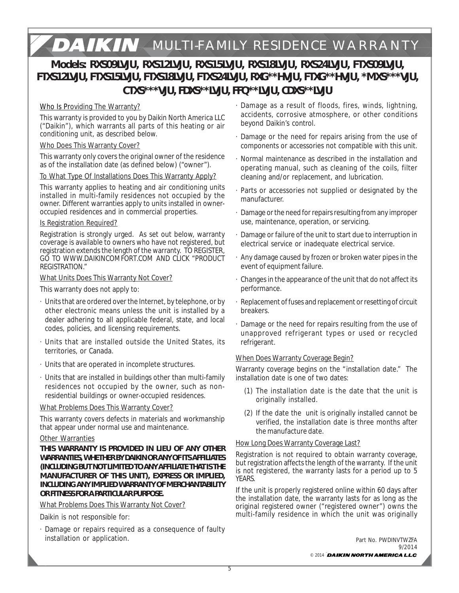# **MULTI-FAMILY RESIDENCE WARRANTY**

# **Models: RXS09LVJU, RXS12LVJU, RXS15LVJU, RXS18LVJU, RXS24LVJU, FTXS09LVJU, FTXS12LVJU, FTXS15LVJU, FTXS18LVJU, FTXS24LVJU, RXG\*\*HVJU, FTXG\*\*HVJU, \*MXS\*\*\*VJU, CTXS\*\*\*VJU, FDXS\*\*LVJU, FFQ\*\*LVJU, CDXS\*\*LVJU**

## Who Is Providing The Warranty?

This warranty is provided to you by Daikin North America LLC ("Daikin"), which warrants all parts of this heating or air conditioning unit, as described below.

#### Who Does This Warranty Cover?

This warranty only covers the original owner of the residence as of the installation date (as defined below) ("owner").

#### To What Type Of Installations Does This Warranty Apply?

This warranty applies to heating and air conditioning units installed in multi-family residences not occupied by the owner. Different warranties apply to units installed in owneroccupied residences and in commercial properties.

#### Is Registration Required?

Registration is strongly urged. As set out below, warranty coverage is available to owners who have not registered, but registration extends the length of the warranty. TO REGISTER, GO TO WWW.DAIKINCOMFORT.COM AND CLICK "PRODUCT REGISTRATION."

#### What Units Does This Warranty Not Cover?

This warranty does not apply to:

- · Units that are ordered over the Internet, by telephone, or by other electronic means unless the unit is installed by a dealer adhering to all applicable federal, state, and local codes, policies, and licensing requirements.
- · Units that are installed outside the United States, its territories, or Canada.
- · Units that are operated in incomplete structures.
- · Units that are installed in buildings other than multi-family residences not occupied by the owner, such as nonresidential buildings or owner-occupied residences.

#### What Problems Does This Warranty Cover?

This warranty covers defects in materials and workmanship that appear under normal use and maintenance.

#### Other Warranties

**THIS WARRANTY IS PROVIDED IN LIEU OF ANY OTHER WARRANTIES, WHETHER BY DAIKIN OR ANY OF ITS AFFILIATES (INCLUDING BUT NOT LIMITED TO ANY AFFILIATE THAT IS THE MANUFACTURER OF THIS UNIT), EXPRESS OR IMPLIED, INCLUDING ANY IMPLIED WARRANTY OF MERCHANTABILITY OR FITNESS FOR A PARTICULAR PURPOSE.**

#### What Problems Does This Warranty Not Cover?

Daikin is not responsible for:

· Damage or repairs required as a consequence of faulty installation or application.

- · Damage as a result of floods, fires, winds, lightning, accidents, corrosive atmosphere, or other conditions beyond Daikin's control.
- · Damage or the need for repairs arising from the use of components or accessories not compatible with this unit.
- · Normal maintenance as described in the installation and operating manual, such as cleaning of the coils, filter cleaning and/or replacement, and lubrication.
- · Parts or accessories not supplied or designated by the manufacturer.
- · Damage or the need for repairs resulting from any improper use, maintenance, operation, or servicing.
- · Damage or failure of the unit to start due to interruption in electrical service or inadequate electrical service.
- · Any damage caused by frozen or broken water pipes in the event of equipment failure.
- · Changes in the appearance of the unit that do not affect its performance.
- Replacement of fuses and replacement or resetting of circuit breakers.
- Damage or the need for repairs resulting from the use of unapproved refrigerant types or used or recycled refrigerant.

## When Does Warranty Coverage Begin?

Warranty coverage begins on the "installation date." The installation date is one of two dates:

- (1) The installation date is the date that the unit is originally installed.
- (2) If the date the unit is originally installed cannot be verified, the installation date is three months after the manufacture date.

## How Long Does Warranty Coverage Last?

Registration is not required to obtain warranty coverage, but registration affects the length of the warranty. If the unit is not registered, the warranty lasts for a period up to 5 YEARS.

If the unit is properly registered online within 60 days after the installation date, the warranty lasts for as long as the original registered owner ("registered owner") owns the multi-family residence in which the unit was originally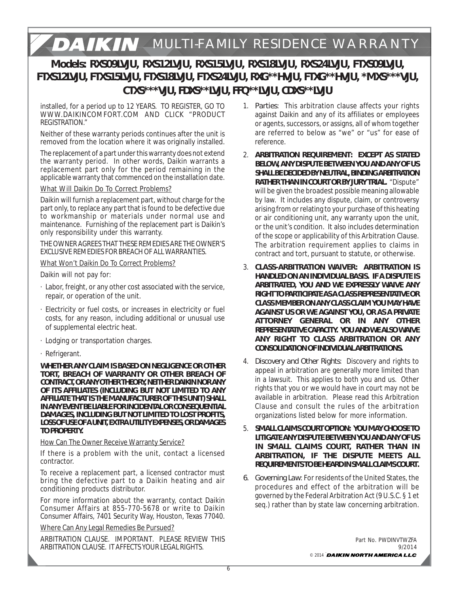# **MULTI-FAMILY RESIDENCE WARRANTY**

# **Models: RXS09LVJU, RXS12LVJU, RXS15LVJU, RXS18LVJU, RXS24LVJU, FTXS09LVJU, FTXS12LVJU, FTXS15LVJU, FTXS18LVJU, FTXS24LVJU, RXG\*\*HVJU, FTXG\*\*HVJU, \*MXS\*\*\*VJU, CTXS\*\*\*VJU, FDXS\*\*LVJU, FFQ\*\*LVJU, CDXS\*\*LVJU**

installed, for a period up to 12 YEARS. TO REGISTER, GO TO WWW.DAIKINCOMFORT.COM AND CLICK "PRODUCT REGISTRATION."

Neither of these warranty periods continues after the unit is removed from the location where it was originally installed.

The replacement of a part under this warranty does not extend the warranty period. In other words, Daikin warrants a replacement part only for the period remaining in the applicable warranty that commenced on the installation date.

#### What Will Daikin Do To Correct Problems?

Daikin will furnish a replacement part, without charge for the part only, to replace any part that is found to be defective due to workmanship or materials under normal use and maintenance. Furnishing of the replacement part is Daikin's only responsibility under this warranty.

THE OWNER AGREES THAT THESE REMEDIES ARE THE OWNER'S EXCLUSIVE REMEDIES FOR BREACH OF ALL WARRANTIES.

What Won't Daikin Do To Correct Problems?

Daikin will not pay for:

- · Labor, freight, or any other cost associated with the service, repair, or operation of the unit.
- · Electricity or fuel costs, or increases in electricity or fuel costs, for any reason, including additional or unusual use of supplemental electric heat.
- · Lodging or transportation charges.
- · Refrigerant.

**WHETHER ANY CLAIM IS BASED ON NEGLIGENCE OR OTHER TORT, BREACH OF WARRANTY OR OTHER BREACH OF CONTRACT, OR ANY OTHER THEORY, NEITHER DAIKIN NOR ANY OF ITS AFFILIATES (INCLUDING BUT NOT LIMITED TO ANY AFFILIATE THAT IS THE MANUFACTURER OF THIS UNIT) SHALL IN ANY EVENT BE LIABLE FOR INCIDENTAL OR CONSEQUENTIAL DAMAGES, INCLUDING BUT NOT LIMITED TO LOST PROFITS, LOSS OF USE OF A UNIT, EXTRA UTILITY EXPENSES, OR DAMAGES TO PROPERTY.**

How Can The Owner Receive Warranty Service?

If there is a problem with the unit, contact a licensed contractor.

To receive a replacement part, a licensed contractor must bring the defective part to a Daikin heating and air conditioning products distributor.

For more information about the warranty, contact Daikin Consumer Affairs at 855-770-5678 or write to Daikin Consumer Affairs, 7401 Security Way, Houston, Texas 77040.

## Where Can Any Legal Remedies Be Pursued?

ARBITRATION CLAUSE. IMPORTANT. PLEASE REVIEW THIS ARBITRATION CLAUSE. IT AFFECTS YOUR LEGAL RIGHTS.

- 1. *Parties*: This arbitration clause affects your rights against Daikin and any of its affiliates or employees or agents, successors, or assigns, all of whom together are referred to below as "we" or "us" for ease of reference.
- 2. *ARBITRATION REQUIREMENT***: EXCEPT AS STATED BELOW, ANY DISPUTE BETWEEN YOU AND ANY OF US SHALL BE DECIDED BY NEUTRAL, BINDING ARBITRATION RATHER THAN IN COURT OR BY JURY TRIAL.** "Dispute" will be given the broadest possible meaning allowable by law. It includes any dispute, claim, or controversy arising from or relating to your purchase of this heating or air conditioning unit, any warranty upon the unit, or the unit's condition. It also includes determination of the scope or applicability of this Arbitration Clause. The arbitration requirement applies to claims in contract and tort, pursuant to statute, or otherwise.
- 3. *CLASS-ARBITRATION WAIVER***: ARBITRATION IS HANDLED ON AN INDIVIDUAL BASIS. IF A DISPUTE IS ARBITRATED, YOU AND WE EXPRESSLY WAIVE ANY RIGHT TO PARTICIPATE AS A CLASS REPRESENTATIVE OR CLASS MEMBER ON ANY CLASS CLAIM YOU MAY HAVE AGAINST US OR WE AGAINST YOU, OR AS A PRIVATE ATTORNEY GENERAL OR IN ANY OTHER REPRESENTATIVE CAPACITY. YOU AND WE ALSO WAIVE ANY RIGHT TO CLASS ARBITRATION OR ANY CONSOLIDATION OF INDIVIDUAL ARBITRATIONS.**
- 4. *Discovery and Other Rights*: Discovery and rights to appeal in arbitration are generally more limited than in a lawsuit. This applies to both you and us. Other rights that you or we would have in court may not be available in arbitration. Please read this Arbitration Clause and consult the rules of the arbitration organizations listed below for more information.
- 5. *SMALL CLAIMS COURT OPTION***: YOU MAY CHOOSE TO LITIGATE ANY DISPUTE BETWEEN YOU AND ANY OF US IN SMALL CLAIMS COURT, RATHER THAN IN ARBITRATION, IF THE DISPUTE MEETS ALL REQUIREMENTS TO BE HEARD IN SMALL CLAIMS COURT.**
- *6. Governing Law*: For residents of the United States, the procedures and effect of the arbitration will be governed by the Federal Arbitration Act (9 U.S.C. § 1 et seq.) rather than by state law concerning arbitration.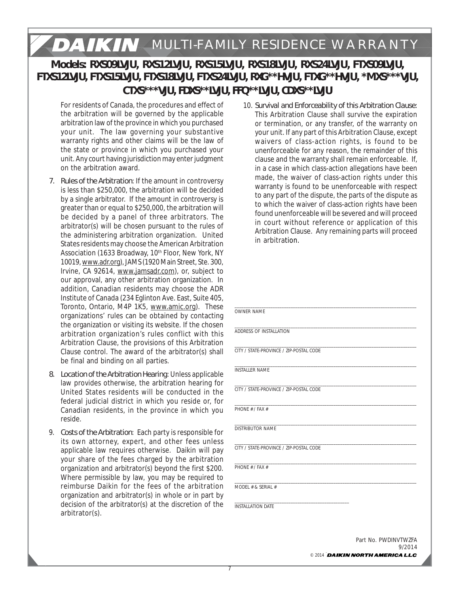# **MULTI-FAMILY RESIDENCE WARRANTY**

# **Models: RXS09LVJU, RXS12LVJU, RXS15LVJU, RXS18LVJU, RXS24LVJU, FTXS09LVJU, FTXS12LVJU, FTXS15LVJU, FTXS18LVJU, FTXS24LVJU, RXG\*\*HVJU, FTXG\*\*HVJU, \*MXS\*\*\*VJU, CTXS\*\*\*VJU, FDXS\*\*LVJU, FFQ\*\*LVJU, CDXS\*\*LVJU**

For residents of Canada, the procedures and effect of the arbitration will be governed by the applicable arbitration law of the province in which you purchased your unit. The law governing your substantive warranty rights and other claims will be the law of the state or province in which you purchased your unit. Any court having jurisdiction may enter judgment on the arbitration award.

- *7. Rules of the Arbitration*: If the amount in controversy is less than \$250,000, the arbitration will be decided by a single arbitrator. If the amount in controversy is greater than or equal to \$250,000, the arbitration will be decided by a panel of three arbitrators. The arbitrator(s) will be chosen pursuant to the rules of the administering arbitration organization. United States residents may choose the American Arbitration Association (1633 Broadway, 10<sup>th</sup> Floor, New York, NY 10019, www.adr.org), JAMS (1920 Main Street, Ste. 300, Irvine, CA 92614, www.jamsadr.com), or, subject to our approval, any other arbitration organization. In addition, Canadian residents may choose the ADR Institute of Canada (234 Eglinton Ave. East, Suite 405, Toronto, Ontario, M4P 1K5, www.amic.org). These organizations' rules can be obtained by contacting the organization or visiting its website. If the chosen arbitration organization's rules conflict with this Arbitration Clause, the provisions of this Arbitration Clause control. The award of the arbitrator(s) shall be final and binding on all parties.
- *8. Location of the Arbitration Hearing*: Unless applicable law provides otherwise, the arbitration hearing for United States residents will be conducted in the federal judicial district in which you reside or, for Canadian residents, in the province in which you reside.
- 9. *Costs of the Arbitration*: Each party is responsible for its own attorney, expert, and other fees unless applicable law requires otherwise. Daikin will pay your share of the fees charged by the arbitration organization and arbitrator(s) beyond the first \$200. Where permissible by law, you may be required to reimburse Daikin for the fees of the arbitration organization and arbitrator(s) in whole or in part by decision of the arbitrator(s) at the discretion of the arbitrator(s).

10. *Survival and Enforceability of this Arbitration Clause*: This Arbitration Clause shall survive the expiration or termination, or any transfer, of the warranty on your unit. If any part of this Arbitration Clause, except waivers of class-action rights, is found to be unenforceable for any reason, the remainder of this clause and the warranty shall remain enforceable. If, in a case in which class-action allegations have been made, the waiver of class-action rights under this warranty is found to be unenforceable with respect to any part of the dispute, the parts of the dispute as to which the waiver of class-action rights have been found unenforceable will be severed and will proceed in court without reference or application of this Arbitration Clause. Any remaining parts will proceed in arbitration.

| <b>OWNER NAME</b>                       |
|-----------------------------------------|
| ADDRESS OF INSTALLATION                 |
|                                         |
| CITY / STATE-PROVINCE / ZIP-POSTAL CODE |
| <b>INSTALLER NAME</b>                   |
| CITY / STATE-PROVINCE / ZIP-POSTAL CODE |
| PHONE # / FAX #                         |
| <b>DISTRIBUTOR NAME</b>                 |
| CITY / STATE-PROVINCE / ZIP-POSTAL CODE |
| PHONE # / FAX #                         |
| MODEL # & SERIAL #                      |
| <b>INSTALLATION DATE</b>                |
|                                         |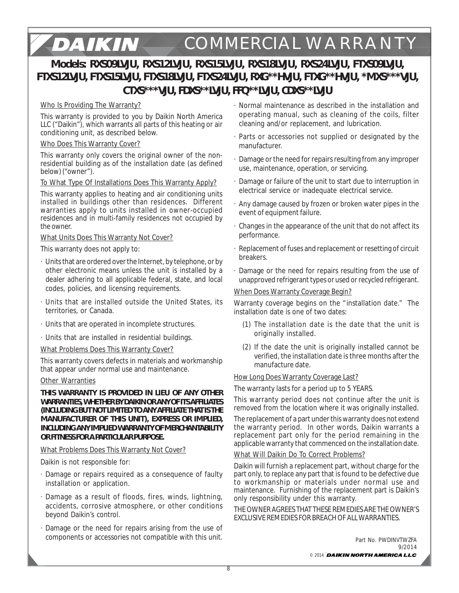## DAIKIN **COMMERCIAL WARRANTY**

# **Models: RXS09LVJU, RXS12LVJU, RXS15LVJU, RXS18LVJU, RXS24LVJU, FTXS09LVJU, FTXS12LVJU, FTXS15LVJU, FTXS18LVJU, FTXS24LVJU, RXG\*\*HVJU, FTXG\*\*HVJU, \*MXS\*\*\*VJU, CTXS\*\*\*VJU, FDXS\*\*LVJU, FFQ\*\*LVJU, CDXS\*\*LVJU**

## Who Is Providing The Warranty?

This warranty is provided to you by Daikin North America LLC ("Daikin"), which warrants all parts of this heating or air conditioning unit, as described below.

## Who Does This Warranty Cover?

This warranty only covers the original owner of the nonresidential building as of the installation date (as defined below) ("owner").

## To What Type Of Installations Does This Warranty Apply?

This warranty applies to heating and air conditioning units installed in buildings other than residences. Different warranties apply to units installed in owner-occupied residences and in multi-family residences not occupied by the owner.

## What Units Does This Warranty Not Cover?

This warranty does not apply to:

- · Units that are ordered over the Internet, by telephone, or by other electronic means unless the unit is installed by a dealer adhering to all applicable federal, state, and local codes, policies, and licensing requirements.
- · Units that are installed outside the United States, its territories, or Canada.
- · Units that are operated in incomplete structures.
- · Units that are installed in residential buildings.

## What Problems Does This Warranty Cover?

This warranty covers defects in materials and workmanship that appear under normal use and maintenance.

## Other Warranties

**THIS WARRANTY IS PROVIDED IN LIEU OF ANY OTHER WARRANTIES, WHETHER BY DAIKIN OR ANY OF ITS AFFILIATES (INCLUDING BUT NOT LIMITED TO ANY AFFILIATE THAT IS THE MANUFACTURER OF THIS UNIT), EXPRESS OR IMPLIED, INCLUDING ANY IMPLIED WARRANTY OF MERCHANTABILITY OR FITNESS FOR A PARTICULAR PURPOSE.**

## What Problems Does This Warranty Not Cover?

Daikin is not responsible for:

- · Damage or repairs required as a consequence of faulty installation or application.
- · Damage as a result of floods, fires, winds, lightning, accidents, corrosive atmosphere, or other conditions beyond Daikin's control.
- · Damage or the need for repairs arising from the use of components or accessories not compatible with this unit.
- · Normal maintenance as described in the installation and operating manual, such as cleaning of the coils, filter cleaning and/or replacement, and lubrication.
- · Parts or accessories not supplied or designated by the manufacturer.
- · Damage or the need for repairs resulting from any improper use, maintenance, operation, or servicing.
- · Damage or failure of the unit to start due to interruption in electrical service or inadequate electrical service.
- · Any damage caused by frozen or broken water pipes in the event of equipment failure.
- · Changes in the appearance of the unit that do not affect its performance.
- · Replacement of fuses and replacement or resetting of circuit breakers.
- · Damage or the need for repairs resulting from the use of unapproved refrigerant types or used or recycled refrigerant.

## When Does Warranty Coverage Begin?

Warranty coverage begins on the "installation date." The installation date is one of two dates:

- (1) The installation date is the date that the unit is originally installed.
- (2) If the date the unit is originally installed cannot be verified, the installation date is three months after the manufacture date.

## **How Long Does Warranty Coverage Last?**

The warranty lasts for a period up to 5 YEARS.

This warranty period does not continue after the unit is removed from the location where it was originally installed.

The replacement of a part under this warranty does not extend the warranty period. In other words, Daikin warrants a replacement part only for the period remaining in the applicable warranty that commenced on the installation date.

## What Will Daikin Do To Correct Problems?

Daikin will furnish a replacement part, without charge for the part only, to replace any part that is found to be defective due to workmanship or materials under normal use and maintenance. Furnishing of the replacement part is Daikin's only responsibility under this warranty.

THE OWNER AGREES THAT THESE REMEDIES ARE THE OWNER'S EXCLUSIVE REMEDIES FOR BREACH OF ALL WARRANTIES.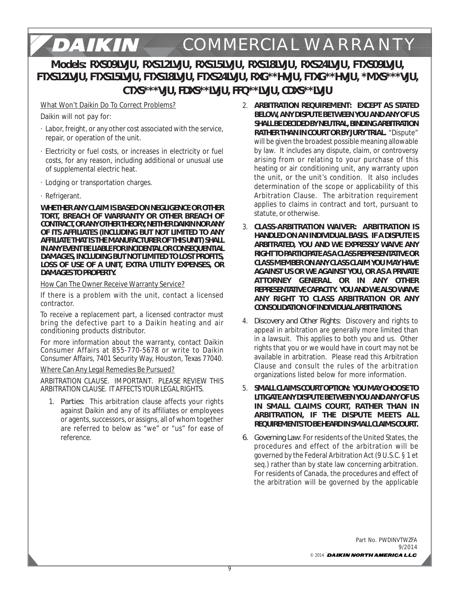## DAIKIN **COMMERCIAL WARRANTYModels: RXS09LVJU, RXS12LVJU, RXS15LVJU, RXS18LVJU, RXS24LVJU, FTXS09LVJU, FTXS12LVJU, FTXS15LVJU, FTXS18LVJU, FTXS24LVJU, RXG\*\*HVJU, FTXG\*\*HVJU, \*MXS\*\*\*VJU, CTXS\*\*\*VJU, FDXS\*\*LVJU, FFQ\*\*LVJU, CDXS\*\*LVJU**

What Won't Daikin Do To Correct Problems?

Daikin will not pay for:

- · Labor, freight, or any other cost associated with the service, repair, or operation of the unit.
- · Electricity or fuel costs, or increases in electricity or fuel costs, for any reason, including additional or unusual use of supplemental electric heat.
- · Lodging or transportation charges.
- · Refrigerant.

**WHETHER ANY CLAIM IS BASED ON NEGLIGENCE OR OTHER TORT, BREACH OF WARRANTY OR OTHER BREACH OF CONTRACT, OR ANY OTHER THEORY, NEITHER DAIKIN NOR ANY OF ITS AFFILIATES (INCLUDING BUT NOT LIMITED TO ANY AFFILIATE THAT IS THE MANUFACTURER OF THIS UNIT) SHALL IN ANY EVENT BE LIABLE FOR INCIDENTAL OR CONSEQUENTIAL DAMAGES, INCLUDING BUT NOT LIMITED TO LOST PROFITS, LOSS OF USE OF A UNIT, EXTRA UTILITY EXPENSES, OR DAMAGES TO PROPERTY.**

How Can The Owner Receive Warranty Service?

If there is a problem with the unit, contact a licensed contractor.

To receive a replacement part, a licensed contractor must bring the defective part to a Daikin heating and air conditioning products distributor.

For more information about the warranty, contact Daikin Consumer Affairs at 855-770-5678 or write to Daikin Consumer Affairs, 7401 Security Way, Houston, Texas 77040.

#### Where Can Any Legal Remedies Be Pursued?

ARBITRATION CLAUSE. IMPORTANT. PLEASE REVIEW THIS ARBITRATION CLAUSE. IT AFFECTS YOUR LEGAL RIGHTS.

1. *Parties*: This arbitration clause affects your rights against Daikin and any of its affiliates or employees or agents, successors, or assigns, all of whom together are referred to below as "we" or "us" for ease of reference.

- 2. *ARBITRATION REQUIREMENT***: EXCEPT AS STATED BELOW, ANY DISPUTE BETWEEN YOU AND ANY OF US SHALL BE DECIDED BY NEUTRAL, BINDING ARBITRATION RATHER THAN IN COURT OR BY JURY TRIAL.** "Dispute" will be given the broadest possible meaning allowable by law. It includes any dispute, claim, or controversy arising from or relating to your purchase of this heating or air conditioning unit, any warranty upon the unit, or the unit's condition. It also includes determination of the scope or applicability of this Arbitration Clause. The arbitration requirement applies to claims in contract and tort, pursuant to statute, or otherwise.
- 3. *CLASS-ARBITRATION WAIVER***: ARBITRATION IS HANDLED ON AN INDIVIDUAL BASIS. IF A DISPUTE IS ARBITRATED, YOU AND WE EXPRESSLY WAIVE ANY RIGHT TO PARTICIPATE AS A CLASS REPRESENTATIVE OR CLASS MEMBER ON ANY CLASS CLAIM YOU MAY HAVE AGAINST US OR WE AGAINST YOU, OR AS A PRIVATE ATTORNEY GENERAL OR IN ANY OTHER REPRESENTATIVE CAPACITY. YOU AND WE ALSO WAIVE ANY RIGHT TO CLASS ARBITRATION OR ANY CONSOLIDATION OF INDIVIDUAL ARBITRATIONS.**
- 4. *Discovery and Other Rights*: Discovery and rights to appeal in arbitration are generally more limited than in a lawsuit. This applies to both you and us. Other rights that you or we would have in court may not be available in arbitration. Please read this Arbitration Clause and consult the rules of the arbitration organizations listed below for more information.
- 5. *SMALL CLAIMS COURT OPTION***: YOU MAY CHOOSE TO LITIGATE ANY DISPUTE BETWEEN YOU AND ANY OF US IN SMALL CLAIMS COURT, RATHER THAN IN ARBITRATION, IF THE DISPUTE MEETS ALL REQUIREMENTS TO BE HEARD IN SMALL CLAIMS COURT.**
- *6. Governing Law*: For residents of the United States, the procedures and effect of the arbitration will be governed by the Federal Arbitration Act (9 U.S.C. § 1 et seq.) rather than by state law concerning arbitration. For residents of Canada, the procedures and effect of the arbitration will be governed by the applicable